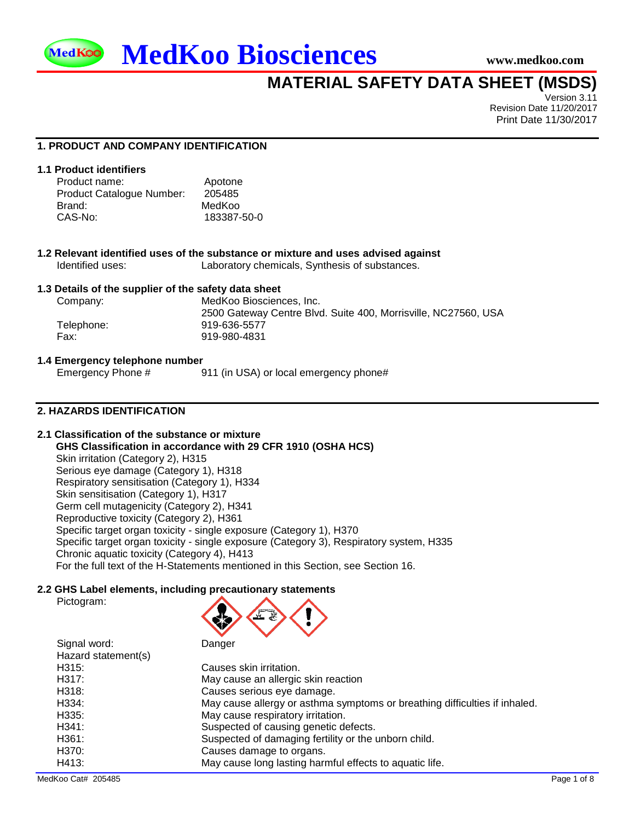



# <span id="page-0-2"></span><span id="page-0-0"></span>**MATERIAL SAFETY DATA SHEET (MSDS)**

Version 3.11 Revision Date 11/20/2017 Print Date 11/30/2017

## **1. PRODUCT AND COMPANY IDENTIFICATION**

## **1.1 Product identifiers**

<span id="page-0-1"></span>

| Product name:             | Apotone     |
|---------------------------|-------------|
| Product Catalogue Number: | 205485      |
| Brand:                    | MedKoo      |
| CAS-No:                   | 183387-50-0 |

| 1.2 Relevant identified uses of the substance or mixture and uses advised against |                                                |  |
|-----------------------------------------------------------------------------------|------------------------------------------------|--|
| Identified uses:                                                                  | Laboratory chemicals, Synthesis of substances. |  |

#### **1.3 Details of the supplier of the safety data sheet**

| Company:   | MedKoo Biosciences. Inc.                                       |
|------------|----------------------------------------------------------------|
|            | 2500 Gateway Centre Blvd. Suite 400, Morrisville, NC27560, USA |
| Telephone: | 919-636-5577                                                   |
| Fax:       | 919-980-4831                                                   |
|            |                                                                |

#### **1.4 Emergency telephone number**

Emergency Phone # 911 (in USA) or local emergency phone#

## **2. HAZARDS IDENTIFICATION**

## **2.1 Classification of the substance or mixture**

**GHS Classification in accordance with 29 CFR 1910 (OSHA HCS)** Skin irritation (Category 2), H315 Serious eye damage (Category 1), H318 Respiratory sensitisation (Category 1), H334 Skin sensitisation (Category 1), H317 Germ cell mutagenicity (Category 2), H341 Reproductive toxicity (Category 2), H361 Specific target organ toxicity - single exposure (Category 1), H370 Specific target organ toxicity - single exposure (Category 3), Respiratory system, H335 Chronic aquatic toxicity (Category 4), H413 For the full text of the H-Statements mentioned in this Section, see Section 16.

#### **2.2 GHS Label elements, including precautionary statements**

| ≪ |  |
|---|--|
|   |  |

| Signal word:<br>Hazard statement(s) | Danger                                                                     |
|-------------------------------------|----------------------------------------------------------------------------|
| H315:                               | Causes skin irritation.                                                    |
| H317:                               | May cause an allergic skin reaction                                        |
| H318:                               | Causes serious eye damage.                                                 |
| H334:                               | May cause allergy or asthma symptoms or breathing difficulties if inhaled. |
| H335:                               | May cause respiratory irritation.                                          |
| H341:                               | Suspected of causing genetic defects.                                      |
| H361:                               | Suspected of damaging fertility or the unborn child.                       |
| H370:                               | Causes damage to organs.                                                   |
| H413:                               | May cause long lasting harmful effects to aquatic life.                    |

冫

Pictogram: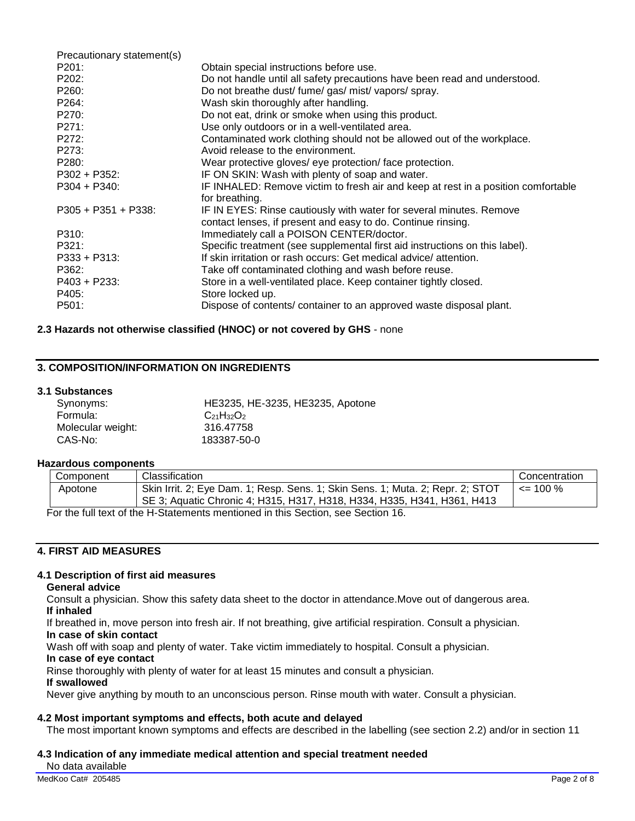| Precautionary statement(s) |                                                                                       |
|----------------------------|---------------------------------------------------------------------------------------|
| P201:                      | Obtain special instructions before use.                                               |
| P202:                      | Do not handle until all safety precautions have been read and understood.             |
| P260:                      | Do not breathe dust/ fume/ gas/ mist/ vapors/ spray.                                  |
| P <sub>264</sub> :         | Wash skin thoroughly after handling.                                                  |
| P270:                      | Do not eat, drink or smoke when using this product.                                   |
| P271:                      | Use only outdoors or in a well-ventilated area.                                       |
| P272:                      | Contaminated work clothing should not be allowed out of the workplace.                |
| P273:                      | Avoid release to the environment.                                                     |
| P280:                      | Wear protective gloves/ eye protection/ face protection.                              |
| $P302 + P352$ :            | IF ON SKIN: Wash with plenty of soap and water.                                       |
| $P304 + P340$ :            | IF INHALED: Remove victim to fresh air and keep at rest in a position comfortable     |
| $P305 + P351 + P338$       | for breathing.<br>IF IN EYES: Rinse cautiously with water for several minutes. Remove |
|                            | contact lenses, if present and easy to do. Continue rinsing.                          |
| P310:                      | Immediately call a POISON CENTER/doctor.                                              |
| P321:                      | Specific treatment (see supplemental first aid instructions on this label).           |
| $P333 + P313$ :            | If skin irritation or rash occurs: Get medical advice/attention.                      |
| P362:                      | Take off contaminated clothing and wash before reuse.                                 |
| $P403 + P233$ :            | Store in a well-ventilated place. Keep container tightly closed.                      |
| P405:                      | Store locked up.                                                                      |
| P501:                      | Dispose of contents/ container to an approved waste disposal plant.                   |

## **2.3 Hazards not otherwise classified (HNOC) or not covered by GHS** - none

## **3. COMPOSITION/INFORMATION ON INGREDIENTS**

#### **3.1 Substances**

| Synonyms:         | HE3235, HE-3235, HE3235, Apotone |
|-------------------|----------------------------------|
| Formula:          | $C_{21}H_{32}O_2$                |
| Molecular weight: | 316.47758                        |
| CAS-No:           | 183387-50-0                      |

#### **Hazardous components**

| Component | <b>Classification</b>                                                          | Concentration |
|-----------|--------------------------------------------------------------------------------|---------------|
| Apotone   | Skin Irrit. 2; Eye Dam. 1; Resp. Sens. 1; Skin Sens. 1; Muta. 2; Repr. 2; STOT | $\leq$ 100 %  |
|           | SE 3; Aquatic Chronic 4; H315, H317, H318, H334, H335, H341, H361, H413        |               |
|           |                                                                                |               |

For the full text of the H-Statements mentioned in this Section, see Section 16.

## **4. FIRST AID MEASURES**

#### **4.1 Description of first aid measures**

#### **General advice**

Consult a physician. Show this safety data sheet to the doctor in attendance.Move out of dangerous area. **If inhaled**

If breathed in, move person into fresh air. If not breathing, give artificial respiration. Consult a physician. **In case of skin contact**

Wash off with soap and plenty of water. Take victim immediately to hospital. Consult a physician.

## **In case of eye contact**

Rinse thoroughly with plenty of water for at least 15 minutes and consult a physician.

#### **If swallowed**

Never give anything by mouth to an unconscious person. Rinse mouth with water. Consult a physician.

## **4.2 Most important symptoms and effects, both acute and delayed**

The most important known symptoms and effects are described in the labelling (see section 2.2) and/or in section 11

#### **4.3 Indication of any immediate medical attention and special treatment needed**

No data available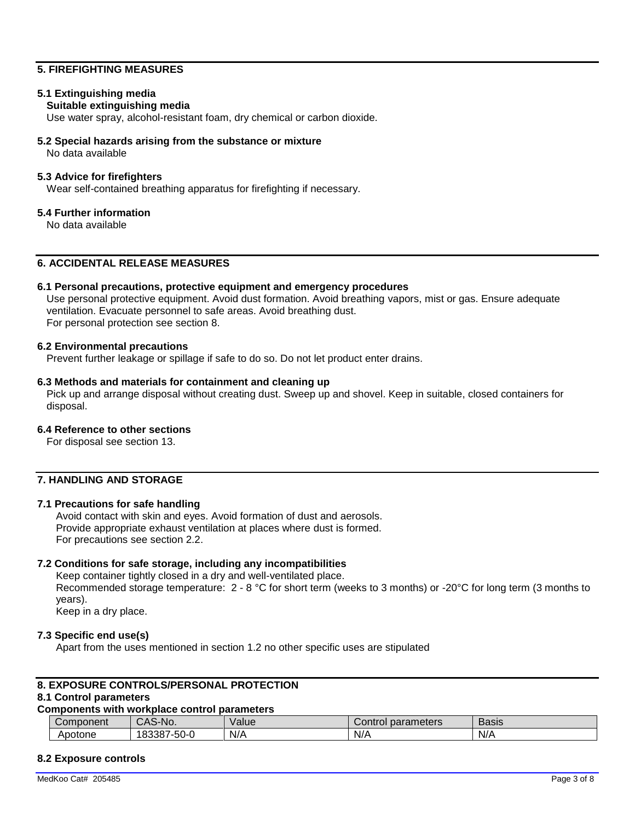## **5. FIREFIGHTING MEASURES**

## **5.1 Extinguishing media**

#### **Suitable extinguishing media**

Use water spray, alcohol-resistant foam, dry chemical or carbon dioxide.

#### **5.2 Special hazards arising from the substance or mixture**

No data available

#### **5.3 Advice for firefighters**

Wear self-contained breathing apparatus for firefighting if necessary.

#### **5.4 Further information**

No data available

## **6. ACCIDENTAL RELEASE MEASURES**

#### **6.1 Personal precautions, protective equipment and emergency procedures**

Use personal protective equipment. Avoid dust formation. Avoid breathing vapors, mist or gas. Ensure adequate ventilation. Evacuate personnel to safe areas. Avoid breathing dust. For personal protection see section 8.

#### **6.2 Environmental precautions**

Prevent further leakage or spillage if safe to do so. Do not let product enter drains.

#### **6.3 Methods and materials for containment and cleaning up**

Pick up and arrange disposal without creating dust. Sweep up and shovel. Keep in suitable, closed containers for disposal.

#### **6.4 Reference to other sections**

For disposal see section 13.

## **7. HANDLING AND STORAGE**

#### **7.1 Precautions for safe handling**

Avoid contact with skin and eyes. Avoid formation of dust and aerosols. Provide appropriate exhaust ventilation at places where dust is formed. For precautions see section 2.2.

#### **7.2 Conditions for safe storage, including any incompatibilities**

Keep container tightly closed in a dry and well-ventilated place. Recommended storage temperature:  $2 - 8$  °C for short term (weeks to 3 months) or -20°C for long term (3 months to years). Keep in a dry place.

#### **7.3 Specific end use(s)**

Apart from the uses mentioned in section 1.2 no other specific uses are stipulated

#### **8. EXPOSURE CONTROLS/PERSONAL PROTECTION**

## **8.1 Control parameters**

## **Components with workplace control parameters**

| Component | ำ-No.<br>$\sim$ $\sim$<br>-л.<br>UAO | Value | parameters<br>ا⊙ontro | -<br>Basis |
|-----------|--------------------------------------|-------|-----------------------|------------|
| Apotone   | 183387<br>-50-0                      | N/A   | N/A                   | N/A        |

## **8.2 Exposure controls**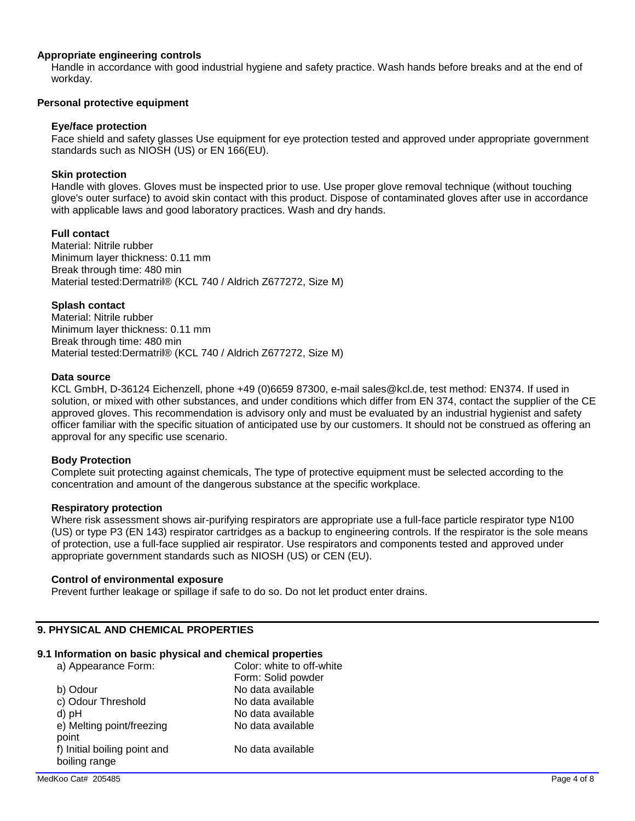#### **Appropriate engineering controls**

Handle in accordance with good industrial hygiene and safety practice. Wash hands before breaks and at the end of workday.

#### **Personal protective equipment**

#### **Eye/face protection**

Face shield and safety glasses Use equipment for eye protection tested and approved under appropriate government standards such as NIOSH (US) or EN 166(EU).

#### **Skin protection**

Handle with gloves. Gloves must be inspected prior to use. Use proper glove removal technique (without touching glove's outer surface) to avoid skin contact with this product. Dispose of contaminated gloves after use in accordance with applicable laws and good laboratory practices. Wash and dry hands.

#### **Full contact**

Material: Nitrile rubber Minimum layer thickness: 0.11 mm Break through time: 480 min Material tested:Dermatril® (KCL 740 / Aldrich Z677272, Size M)

#### **Splash contact**

Material: Nitrile rubber Minimum layer thickness: 0.11 mm Break through time: 480 min Material tested:Dermatril® (KCL 740 / Aldrich Z677272, Size M)

#### **Data source**

KCL GmbH, D-36124 Eichenzell, phone +49 (0)6659 87300, e-mail sales@kcl.de, test method: EN374. If used in solution, or mixed with other substances, and under conditions which differ from EN 374, contact the supplier of the CE approved gloves. This recommendation is advisory only and must be evaluated by an industrial hygienist and safety officer familiar with the specific situation of anticipated use by our customers. It should not be construed as offering an approval for any specific use scenario.

#### **Body Protection**

Complete suit protecting against chemicals, The type of protective equipment must be selected according to the concentration and amount of the dangerous substance at the specific workplace.

#### **Respiratory protection**

Where risk assessment shows air-purifying respirators are appropriate use a full-face particle respirator type N100 (US) or type P3 (EN 143) respirator cartridges as a backup to engineering controls. If the respirator is the sole means of protection, use a full-face supplied air respirator. Use respirators and components tested and approved under appropriate government standards such as NIOSH (US) or CEN (EU).

#### **Control of environmental exposure**

Prevent further leakage or spillage if safe to do so. Do not let product enter drains.

## **9. PHYSICAL AND CHEMICAL PROPERTIES**

## **9.1 Information on basic physical and chemical properties**

| a) Appearance Form:                           | Color: white to off-white |
|-----------------------------------------------|---------------------------|
|                                               | Form: Solid powder        |
| b) Odour                                      | No data available         |
| c) Odour Threshold                            | No data available         |
| d) pH                                         | No data available         |
| e) Melting point/freezing<br>point            | No data available         |
| f) Initial boiling point and<br>boiling range | No data available         |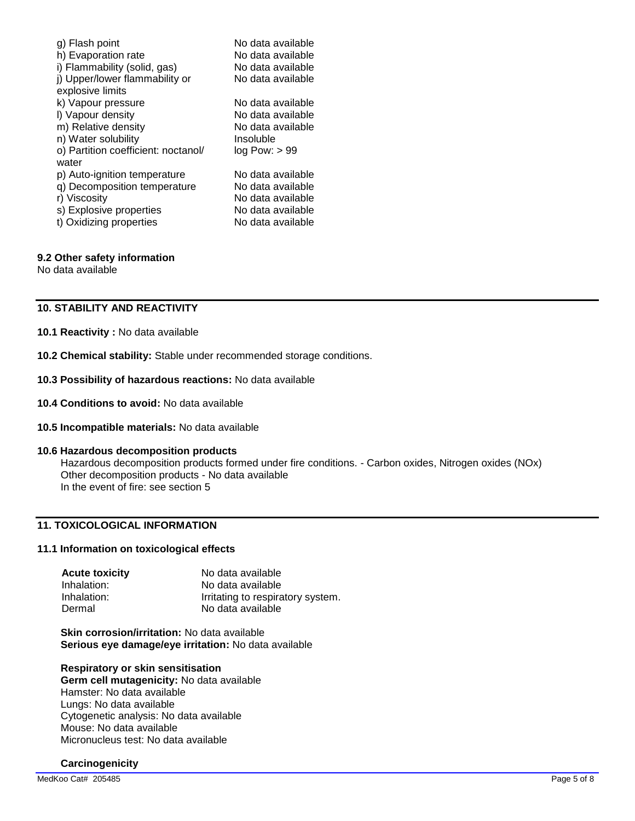| g) Flash point<br>h) Evaporation rate        | No data available<br>No data available |
|----------------------------------------------|----------------------------------------|
| i) Flammability (solid, gas)                 | No data available                      |
| j) Upper/lower flammability or               | No data available                      |
| explosive limits                             |                                        |
| k) Vapour pressure                           | No data available                      |
| I) Vapour density                            | No data available                      |
| m) Relative density                          | No data available                      |
| n) Water solubility                          | Insoluble                              |
| o) Partition coefficient: noctanol/<br>water | log Pow: > 99                          |
| p) Auto-ignition temperature                 | No data available                      |
| q) Decomposition temperature                 | No data available                      |
| r) Viscosity                                 | No data available                      |
| s) Explosive properties                      | No data available                      |
| t) Oxidizing properties                      | No data available                      |

#### **9.2 Other safety information**

No data available

## **10. STABILITY AND REACTIVITY**

#### **10.1 Reactivity :** No data available

- **10.2 Chemical stability:** Stable under recommended storage conditions.
- **10.3 Possibility of hazardous reactions:** No data available
- **10.4 Conditions to avoid:** No data available
- **10.5 Incompatible materials:** No data available

#### **10.6 Hazardous decomposition products**

Hazardous decomposition products formed under fire conditions. - Carbon oxides, Nitrogen oxides (NOx) Other decomposition products - No data available In the event of fire: see section 5

## **11. TOXICOLOGICAL INFORMATION**

#### **11.1 Information on toxicological effects**

| <b>Acute toxicity</b> | No data available                 |
|-----------------------|-----------------------------------|
| Inhalation:           | No data available                 |
| Inhalation:           | Irritating to respiratory system. |
| Dermal                | No data available                 |

**Skin corrosion/irritation:** No data available **Serious eye damage/eye irritation:** No data available

#### **Respiratory or skin sensitisation**

**Germ cell mutagenicity:** No data available Hamster: No data available Lungs: No data available Cytogenetic analysis: No data available Mouse: No data available Micronucleus test: No data available

## **Carcinogenicity**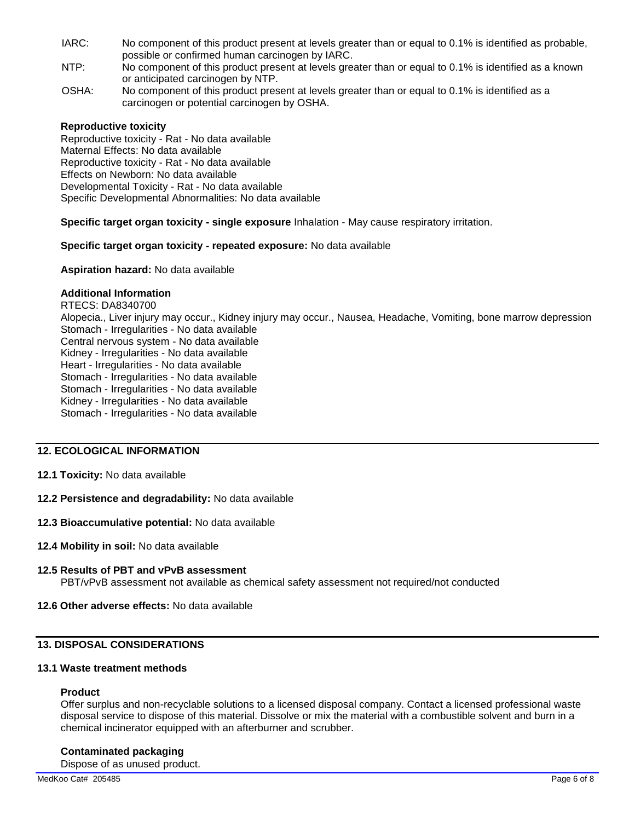- IARC: No component of this product present at levels greater than or equal to 0.1% is identified as probable, possible or confirmed human carcinogen by IARC.
- NTP: No component of this product present at levels greater than or equal to 0.1% is identified as a known or anticipated carcinogen by NTP.
- OSHA: No component of this product present at levels greater than or equal to 0.1% is identified as a carcinogen or potential carcinogen by OSHA.

#### **Reproductive toxicity**

Reproductive toxicity - Rat - No data available Maternal Effects: No data available Reproductive toxicity - Rat - No data available Effects on Newborn: No data available Developmental Toxicity - Rat - No data available Specific Developmental Abnormalities: No data available

#### **Specific target organ toxicity - single exposure** Inhalation - May cause respiratory irritation.

#### **Specific target organ toxicity - repeated exposure:** No data available

**Aspiration hazard:** No data available

#### **Additional Information**

RTECS: DA8340700 Alopecia., Liver injury may occur., Kidney injury may occur., Nausea, Headache, Vomiting, bone marrow depression Stomach - Irregularities - No data available Central nervous system - No data available Kidney - Irregularities - No data available Heart - Irregularities - No data available Stomach - Irregularities - No data available Stomach - Irregularities - No data available Kidney - Irregularities - No data available Stomach - Irregularities - No data available

## **12. ECOLOGICAL INFORMATION**

#### **12.1 Toxicity:** No data available

#### **12.2 Persistence and degradability:** No data available

#### **12.3 Bioaccumulative potential:** No data available

#### **12.4 Mobility in soil:** No data available

#### **12.5 Results of PBT and vPvB assessment**

PBT/vPvB assessment not available as chemical safety assessment not required/not conducted

## **12.6 Other adverse effects:** No data available

## **13. DISPOSAL CONSIDERATIONS**

### **13.1 Waste treatment methods**

#### **Product**

Offer surplus and non-recyclable solutions to a licensed disposal company. Contact a licensed professional waste disposal service to dispose of this material. Dissolve or mix the material with a combustible solvent and burn in a chemical incinerator equipped with an afterburner and scrubber.

#### **Contaminated packaging**

Dispose of as unused product.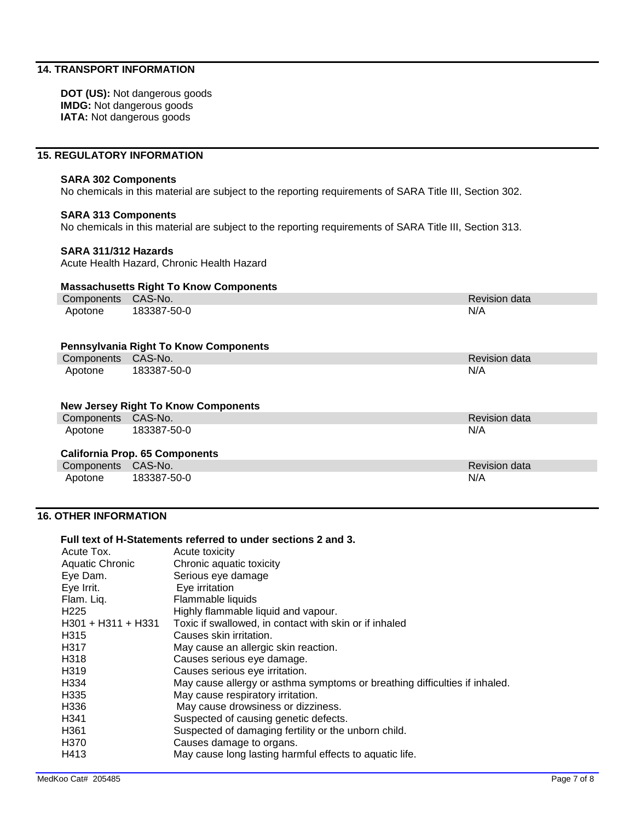## **14. TRANSPORT INFORMATION**

**DOT (US):** Not dangerous goods **IMDG:** Not dangerous goods **IATA:** Not dangerous goods

#### **15. REGULATORY INFORMATION**

## **SARA 302 Components**

No chemicals in this material are subject to the reporting requirements of SARA Title III, Section 302.

#### **SARA 313 Components**

No chemicals in this material are subject to the reporting requirements of SARA Title III, Section 313.

#### **SARA 311/312 Hazards**

Acute Health Hazard, Chronic Health Hazard

#### **Massachusetts Right To Know Components**

| Components CAS-No.                           |             | <b>Revision data</b> |  |
|----------------------------------------------|-------------|----------------------|--|
| Apotone                                      | 183387-50-0 | N/A                  |  |
| <b>Pennsylvania Right To Know Components</b> |             |                      |  |
| Components CAS-No.                           |             | <b>Revision data</b> |  |
| Apotone                                      | 183387-50-0 | N/A                  |  |
| <b>New Jersey Right To Know Components</b>   |             |                      |  |
| Components CAS-No.                           |             | <b>Revision data</b> |  |
| Apotone                                      | 183387-50-0 | N/A                  |  |
| <b>California Prop. 65 Components</b>        |             |                      |  |
| Components CAS-No.                           |             | <b>Revision data</b> |  |
| Apotone                                      | 183387-50-0 | N/A                  |  |

## **16. OTHER INFORMATION**

#### **Full text of H-Statements referred to under sections 2 and 3.**

| Acute toxicity                                                             |
|----------------------------------------------------------------------------|
| Chronic aquatic toxicity                                                   |
| Serious eye damage                                                         |
| Eye irritation                                                             |
| Flammable liquids                                                          |
| Highly flammable liquid and vapour.                                        |
| Toxic if swallowed, in contact with skin or if inhaled                     |
| Causes skin irritation.                                                    |
| May cause an allergic skin reaction.                                       |
| Causes serious eye damage.                                                 |
| Causes serious eye irritation.                                             |
| May cause allergy or asthma symptoms or breathing difficulties if inhaled. |
| May cause respiratory irritation.                                          |
| May cause drowsiness or dizziness.                                         |
| Suspected of causing genetic defects.                                      |
| Suspected of damaging fertility or the unborn child.                       |
| Causes damage to organs.                                                   |
| May cause long lasting harmful effects to aquatic life.                    |
|                                                                            |